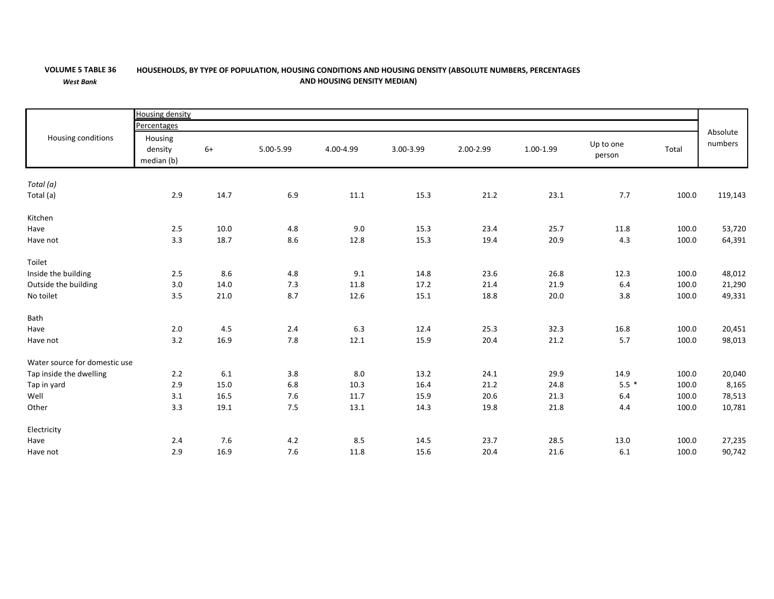## **VOLUME 5**

*West Bank*

## 5 TABLE 36 HOUSEHOLDS, BY TYPE OF POPULATION, HOUSING CONDITIONS AND HOUSING DENSITY (ABSOLUTE NUMBERS, PERCENTAGES **AND HOUSING DENSITY MEDIAN)**

|                               | <b>Housing density</b>           |       |           |           |           |           |           |                     |       |                     |  |
|-------------------------------|----------------------------------|-------|-----------|-----------|-----------|-----------|-----------|---------------------|-------|---------------------|--|
| Housing conditions            | Percentages                      |       |           |           |           |           |           |                     |       |                     |  |
|                               | Housing<br>density<br>median (b) | $6+$  | 5.00-5.99 | 4.00-4.99 | 3.00-3.99 | 2.00-2.99 | 1.00-1.99 | Up to one<br>person | Total | Absolute<br>numbers |  |
| Total (a)                     |                                  |       |           |           |           |           |           |                     |       |                     |  |
| Total (a)                     | 2.9                              | 14.7  | 6.9       | 11.1      | 15.3      | 21.2      | 23.1      | 7.7                 | 100.0 | 119,143             |  |
| Kitchen                       |                                  |       |           |           |           |           |           |                     |       |                     |  |
| Have                          | 2.5                              | 10.0  | 4.8       | 9.0       | 15.3      | 23.4      | 25.7      | 11.8                | 100.0 | 53,720              |  |
| Have not                      | 3.3                              | 18.7  | 8.6       | 12.8      | 15.3      | 19.4      | 20.9      | 4.3                 | 100.0 | 64,391              |  |
| Toilet                        |                                  |       |           |           |           |           |           |                     |       |                     |  |
| Inside the building           | 2.5                              | 8.6   | 4.8       | 9.1       | 14.8      | 23.6      | 26.8      | 12.3                | 100.0 | 48,012              |  |
| Outside the building          | 3.0                              | 14.0  | 7.3       | 11.8      | 17.2      | 21.4      | 21.9      | 6.4                 | 100.0 | 21,290              |  |
| No toilet                     | 3.5                              | 21.0  | 8.7       | 12.6      | 15.1      | 18.8      | 20.0      | 3.8                 | 100.0 | 49,331              |  |
| Bath                          |                                  |       |           |           |           |           |           |                     |       |                     |  |
| Have                          | 2.0                              | 4.5   | 2.4       | 6.3       | 12.4      | 25.3      | 32.3      | 16.8                | 100.0 | 20,451              |  |
| Have not                      | 3.2                              | 16.9  | $7.8$     | 12.1      | 15.9      | 20.4      | 21.2      | 5.7                 | 100.0 | 98,013              |  |
| Water source for domestic use |                                  |       |           |           |           |           |           |                     |       |                     |  |
| Tap inside the dwelling       | 2.2                              | 6.1   | 3.8       | 8.0       | 13.2      | 24.1      | 29.9      | 14.9                | 100.0 | 20,040              |  |
| Tap in yard                   | 2.9                              | 15.0  | 6.8       | 10.3      | 16.4      | 21.2      | 24.8      | $5.5*$              | 100.0 | 8,165               |  |
| Well                          | 3.1                              | 16.5  | 7.6       | 11.7      | 15.9      | 20.6      | 21.3      | 6.4                 | 100.0 | 78,513              |  |
| Other                         | 3.3                              | 19.1  | 7.5       | 13.1      | 14.3      | 19.8      | 21.8      | 4.4                 | 100.0 | 10,781              |  |
| Electricity                   |                                  |       |           |           |           |           |           |                     |       |                     |  |
| Have                          | 2.4                              | $7.6$ | $4.2\,$   | 8.5       | 14.5      | 23.7      | 28.5      | 13.0                | 100.0 | 27,235              |  |
| Have not                      | 2.9                              | 16.9  | 7.6       | 11.8      | 15.6      | 20.4      | 21.6      | 6.1                 | 100.0 | 90,742              |  |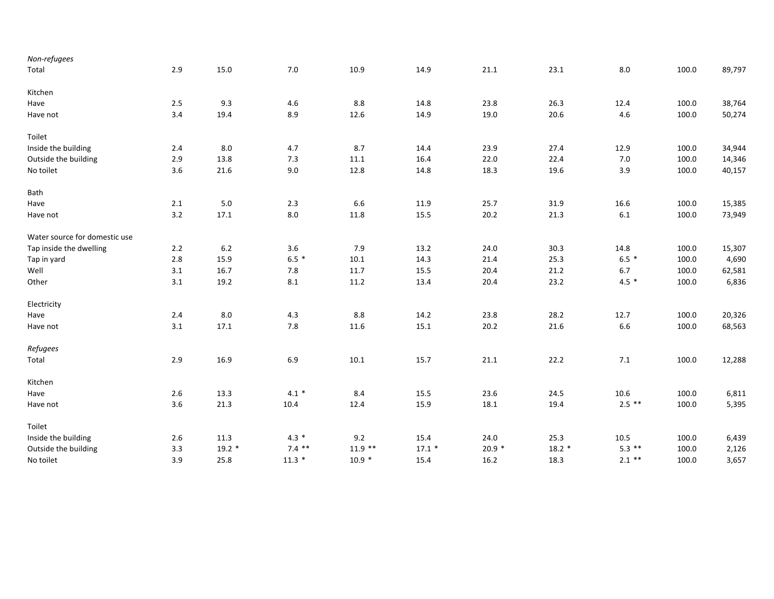| 2.9     | 15.0     | $7.0\,$  | 10.9      | 14.9    | 21.1    | 23.1    | 8.0      | 100.0 | 89,797 |
|---------|----------|----------|-----------|---------|---------|---------|----------|-------|--------|
|         |          |          |           |         |         |         |          |       |        |
| 2.5     | 9.3      | 4.6      | 8.8       | 14.8    | 23.8    | 26.3    | 12.4     | 100.0 | 38,764 |
| 3.4     | 19.4     | 8.9      | 12.6      | 14.9    | 19.0    | 20.6    | 4.6      | 100.0 | 50,274 |
|         |          |          |           |         |         |         |          |       |        |
| 2.4     | $8.0\,$  | 4.7      | 8.7       | 14.4    | 23.9    | 27.4    | 12.9     | 100.0 | 34,944 |
| 2.9     | 13.8     | 7.3      | $11.1\,$  | 16.4    | 22.0    | 22.4    | $7.0$    | 100.0 | 14,346 |
| 3.6     | 21.6     | 9.0      | 12.8      | 14.8    | 18.3    | 19.6    | 3.9      | 100.0 | 40,157 |
|         |          |          |           |         |         |         |          |       |        |
| $2.1\,$ | $5.0\,$  | $2.3$    | 6.6       | 11.9    | 25.7    | 31.9    | 16.6     | 100.0 | 15,385 |
| $3.2\,$ | 17.1     | $8.0\,$  | 11.8      | 15.5    | 20.2    | 21.3    | $6.1\,$  | 100.0 | 73,949 |
|         |          |          |           |         |         |         |          |       |        |
| 2.2     | $6.2\,$  | 3.6      | 7.9       | 13.2    | 24.0    | 30.3    | 14.8     | 100.0 | 15,307 |
| 2.8     | 15.9     | $6.5*$   | 10.1      | 14.3    | 21.4    | 25.3    | $6.5*$   | 100.0 | 4,690  |
| 3.1     |          | $7.8\,$  | 11.7      | 15.5    | 20.4    | 21.2    | 6.7      | 100.0 | 62,581 |
| 3.1     | 19.2     | 8.1      | 11.2      | 13.4    | 20.4    | 23.2    | $4.5*$   | 100.0 | 6,836  |
|         |          |          |           |         |         |         |          |       |        |
| 2.4     | 8.0      | 4.3      | 8.8       | 14.2    | 23.8    | 28.2    | 12.7     | 100.0 | 20,326 |
| 3.1     | 17.1     | 7.8      | 11.6      | 15.1    | 20.2    | 21.6    | 6.6      | 100.0 | 68,563 |
|         |          |          |           |         |         |         |          |       |        |
| 2.9     | 16.9     | 6.9      | 10.1      | 15.7    | 21.1    | 22.2    | 7.1      | 100.0 | 12,288 |
|         |          |          |           |         |         |         |          |       |        |
| 2.6     | 13.3     | $4.1 *$  | 8.4       | 15.5    | 23.6    | 24.5    | 10.6     | 100.0 | 6,811  |
| 3.6     | 21.3     | 10.4     | 12.4      | 15.9    | 18.1    | 19.4    | $2.5$ ** | 100.0 | 5,395  |
|         |          |          |           |         |         |         |          |       |        |
| 2.6     | 11.3     | $4.3*$   | 9.2       | 15.4    | 24.0    | 25.3    | 10.5     | 100.0 | 6,439  |
| 3.3     | $19.2 *$ | $7.4$ ** | $11.9$ ** | $17.1*$ | $20.9*$ | $18.2*$ | $5.3$ ** | 100.0 | 2,126  |
| 3.9     | 25.8     | $11.3*$  | $10.9 *$  | 15.4    | 16.2    | 18.3    | $2.1$ ** | 100.0 | 3,657  |
|         |          | 16.7     |           |         |         |         |          |       |        |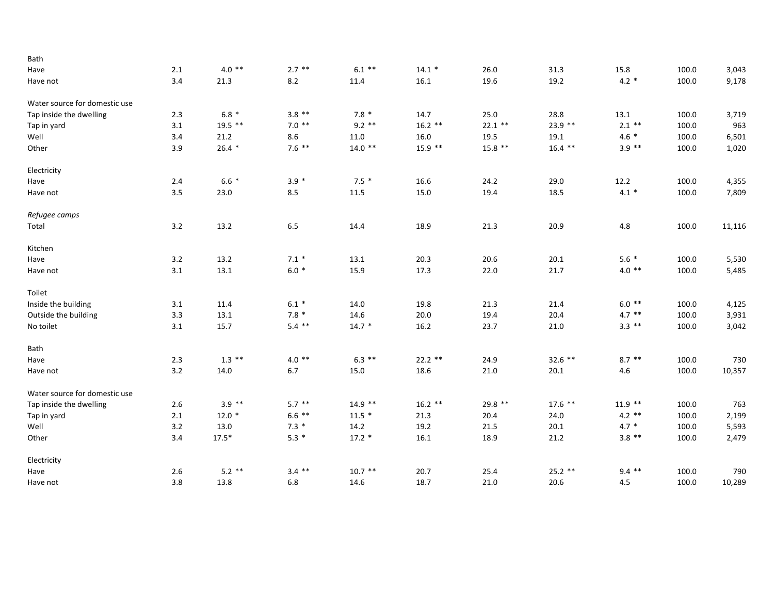| Bath                          |         |           |          |           |           |           |           |           |       |        |
|-------------------------------|---------|-----------|----------|-----------|-----------|-----------|-----------|-----------|-------|--------|
| Have                          | 2.1     | $4.0**$   | $2.7$ ** | $6.1***$  | $14.1 *$  | 26.0      | 31.3      | 15.8      | 100.0 | 3,043  |
| Have not                      | 3.4     | 21.3      | 8.2      | 11.4      | 16.1      | 19.6      | 19.2      | $4.2 *$   | 100.0 | 9,178  |
| Water source for domestic use |         |           |          |           |           |           |           |           |       |        |
| Tap inside the dwelling       | 2.3     | $6.8*$    | $3.8**$  | $7.8*$    | 14.7      | 25.0      | 28.8      | 13.1      | 100.0 | 3,719  |
| Tap in yard                   | 3.1     | $19.5$ ** | $7.0$ ** | $9.2$ **  | $16.2$ ** | $22.1$ ** | $23.9$ ** | $2.1$ **  | 100.0 | 963    |
| Well                          | 3.4     | 21.2      | 8.6      | 11.0      | 16.0      | 19.5      | 19.1      | $4.6 *$   | 100.0 | 6,501  |
| Other                         | 3.9     | $26.4*$   | $7.6$ ** | $14.0$ ** | $15.9$ ** | $15.8$ ** | $16.4$ ** | $3.9$ **  | 100.0 | 1,020  |
| Electricity                   |         |           |          |           |           |           |           |           |       |        |
| Have                          | 2.4     | $6.6*$    | $3.9 *$  | $7.5*$    | 16.6      | 24.2      | 29.0      | 12.2      | 100.0 | 4,355  |
| Have not                      | 3.5     | 23.0      | 8.5      | 11.5      | 15.0      | 19.4      | 18.5      | $4.1 *$   | 100.0 | 7,809  |
| Refugee camps                 |         |           |          |           |           |           |           |           |       |        |
| Total                         | 3.2     | 13.2      | $6.5\,$  | 14.4      | 18.9      | 21.3      | 20.9      | $4.8\,$   | 100.0 | 11,116 |
| Kitchen                       |         |           |          |           |           |           |           |           |       |        |
| Have                          | 3.2     | 13.2      | $7.1*$   | 13.1      | 20.3      | 20.6      | 20.1      | $5.6*$    | 100.0 | 5,530  |
| Have not                      | 3.1     | 13.1      | $6.0*$   | 15.9      | 17.3      | 22.0      | 21.7      | $4.0$ **  | 100.0 | 5,485  |
| Toilet                        |         |           |          |           |           |           |           |           |       |        |
| Inside the building           | 3.1     | 11.4      | $6.1 *$  | 14.0      | 19.8      | 21.3      | 21.4      | $6.0**$   | 100.0 | 4,125  |
| Outside the building          | 3.3     | 13.1      | $7.8*$   | 14.6      | 20.0      | 19.4      | 20.4      | $4.7$ **  | 100.0 | 3,931  |
| No toilet                     | 3.1     | 15.7      | $5.4$ ** | $14.7*$   | 16.2      | 23.7      | 21.0      | $3.3$ **  | 100.0 | 3,042  |
| Bath                          |         |           |          |           |           |           |           |           |       |        |
| Have                          | 2.3     | $1.3$ **  | $4.0**$  | $6.3$ **  | $22.2$ ** | 24.9      | $32.6$ ** | $8.7$ **  | 100.0 | 730    |
| Have not                      | 3.2     | 14.0      | 6.7      | 15.0      | 18.6      | 21.0      | 20.1      | 4.6       | 100.0 | 10,357 |
| Water source for domestic use |         |           |          |           |           |           |           |           |       |        |
| Tap inside the dwelling       | $2.6\,$ | $3.9$ **  | $5.7$ ** | $14.9$ ** | $16.2$ ** | 29.8 **   | $17.6$ ** | $11.9$ ** | 100.0 | 763    |
| Tap in yard                   | 2.1     | $12.0*$   | $6.6$ ** | $11.5*$   | 21.3      | 20.4      | 24.0      | $4.2$ **  | 100.0 | 2,199  |
| Well                          | 3.2     | 13.0      | $7.3*$   | 14.2      | 19.2      | 21.5      | 20.1      | $4.7 *$   | 100.0 | 5,593  |
| Other                         | 3.4     | $17.5*$   | $5.3*$   | $17.2 *$  | 16.1      | 18.9      | 21.2      | $3.8$ **  | 100.0 | 2,479  |
| Electricity                   |         |           |          |           |           |           |           |           |       |        |
| Have                          | $2.6\,$ | $5.2$ **  | $3.4$ ** | $10.7$ ** | 20.7      | 25.4      | $25.2$ ** | $9.4$ **  | 100.0 | 790    |
| Have not                      | 3.8     | 13.8      | $6.8\,$  | 14.6      | 18.7      | 21.0      | 20.6      | 4.5       | 100.0 | 10,289 |